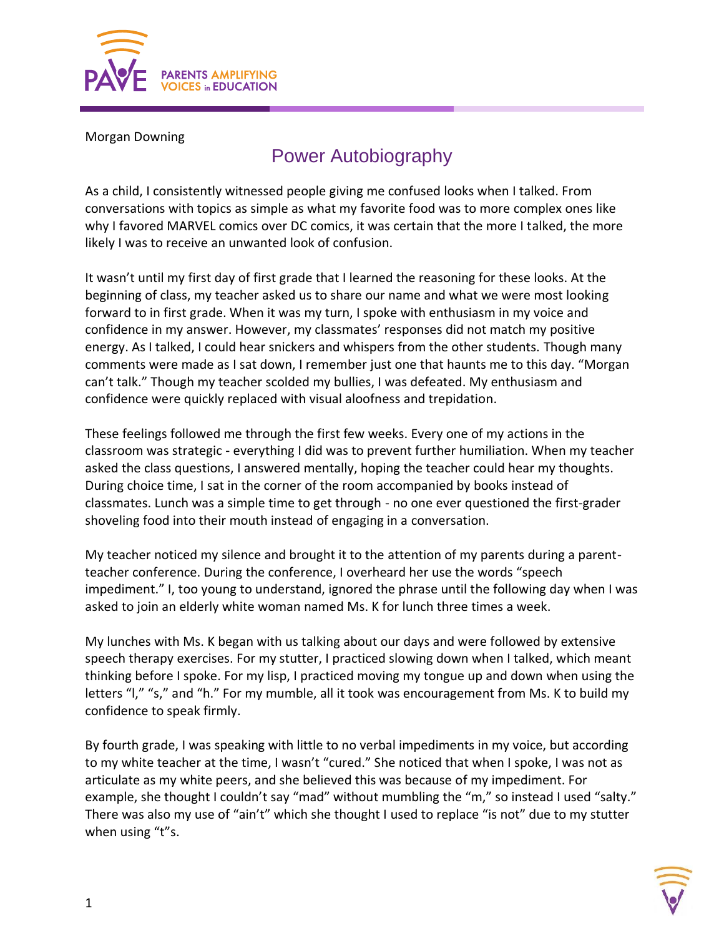

Morgan Downing

## Power Autobiography

As a child, I consistently witnessed people giving me confused looks when I talked. From conversations with topics as simple as what my favorite food was to more complex ones like why I favored MARVEL comics over DC comics, it was certain that the more I talked, the more likely I was to receive an unwanted look of confusion.

It wasn't until my first day of first grade that I learned the reasoning for these looks. At the beginning of class, my teacher asked us to share our name and what we were most looking forward to in first grade. When it was my turn, I spoke with enthusiasm in my voice and confidence in my answer. However, my classmates' responses did not match my positive energy. As I talked, I could hear snickers and whispers from the other students. Though many comments were made as I sat down, I remember just one that haunts me to this day. "Morgan can't talk." Though my teacher scolded my bullies, I was defeated. My enthusiasm and confidence were quickly replaced with visual aloofness and trepidation.

These feelings followed me through the first few weeks. Every one of my actions in the classroom was strategic - everything I did was to prevent further humiliation. When my teacher asked the class questions, I answered mentally, hoping the teacher could hear my thoughts. During choice time, I sat in the corner of the room accompanied by books instead of classmates. Lunch was a simple time to get through - no one ever questioned the first-grader shoveling food into their mouth instead of engaging in a conversation.

My teacher noticed my silence and brought it to the attention of my parents during a parentteacher conference. During the conference, I overheard her use the words "speech impediment." I, too young to understand, ignored the phrase until the following day when I was asked to join an elderly white woman named Ms. K for lunch three times a week.

My lunches with Ms. K began with us talking about our days and were followed by extensive speech therapy exercises. For my stutter, I practiced slowing down when I talked, which meant thinking before I spoke. For my lisp, I practiced moving my tongue up and down when using the letters "I," "s," and "h." For my mumble, all it took was encouragement from Ms. K to build my confidence to speak firmly.

By fourth grade, I was speaking with little to no verbal impediments in my voice, but according to my white teacher at the time, I wasn't "cured." She noticed that when I spoke, I was not as articulate as my white peers, and she believed this was because of my impediment. For example, she thought I couldn't say "mad" without mumbling the "m," so instead I used "salty." There was also my use of "ain't" which she thought I used to replace "is not" due to my stutter when using "t"s.